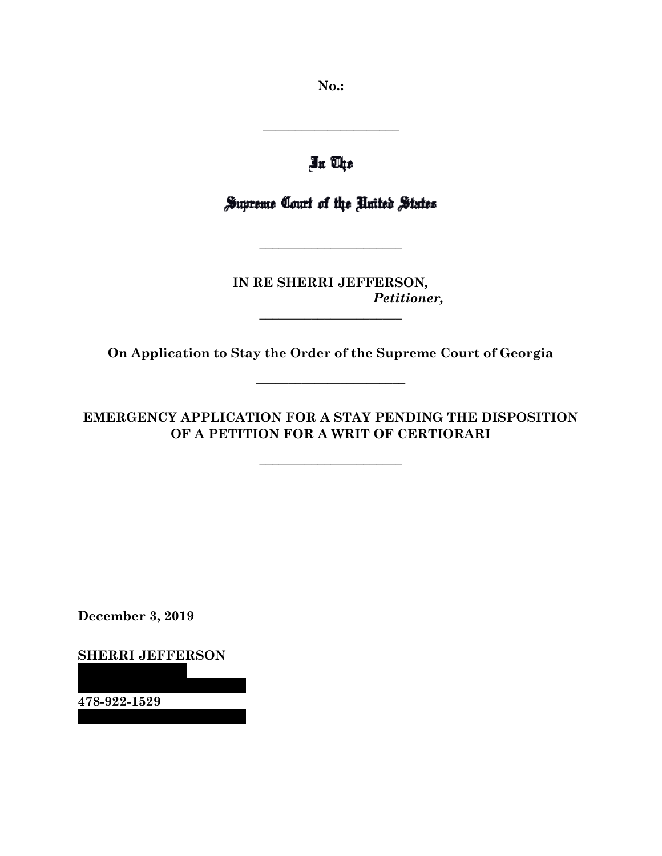**No.:**

Jn The

**\_\_\_\_\_\_\_\_\_\_\_\_\_\_\_\_\_\_\_\_\_**

Supreme Court of the United States

**\_\_\_\_\_\_\_\_\_\_\_\_\_\_\_\_\_\_\_\_\_\_**

**IN RE SHERRI JEFFERSON***, Petitioner,*

**On Application to Stay the Order of the Supreme Court of Georgia** 

**\_\_\_\_\_\_\_\_\_\_\_\_\_\_\_\_\_\_\_\_\_\_\_**

**\_\_\_\_\_\_\_\_\_\_\_\_\_\_\_\_\_\_\_\_\_\_**

**EMERGENCY APPLICATION FOR A STAY PENDING THE DISPOSITION OF A PETITION FOR A WRIT OF CERTIORARI**

**\_\_\_\_\_\_\_\_\_\_\_\_\_\_\_\_\_\_\_\_\_\_**

**December 3, 2019**

**SHERRI JEFFERSON**

**478-922-1529**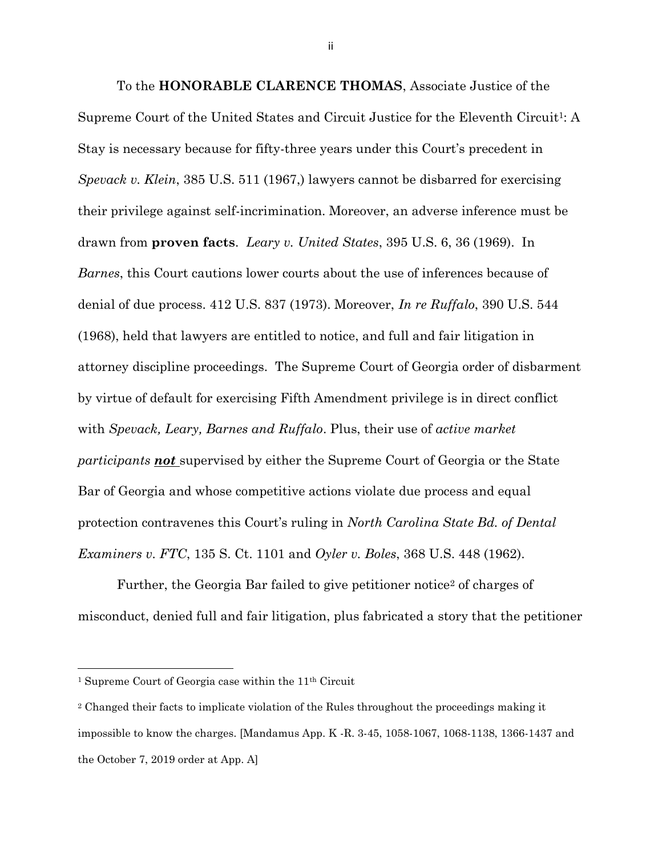To the **HONORABLE CLARENCE THOMAS**, Associate Justice of the Supreme Court of the United States and Circuit Justice for the Eleventh Circuit1: A Stay is necessary because for fifty-three years under this Court's precedent in *Spevack v. Klein*, 385 U.S. 511 (1967,) lawyers cannot be disbarred for exercising their privilege against self-incrimination. Moreover, an adverse inference must be drawn from **proven facts**. *Leary v. United States*, 395 U.S. 6, 36 (1969). In *Barnes*, this Court cautions lower courts about the use of inferences because of denial of due process. 412 U.S. 837 (1973). Moreover, *In re Ruffalo*, 390 U.S. 544 (1968), held that lawyers are entitled to notice, and full and fair litigation in attorney discipline proceedings. The Supreme Court of Georgia order of disbarment by virtue of default for exercising Fifth Amendment privilege is in direct conflict with *Spevack, Leary, Barnes and Ruffalo*. Plus, their use of *active market participants not* supervised by either the Supreme Court of Georgia or the State Bar of Georgia and whose competitive actions violate due process and equal protection contravenes this Court's ruling in *North Carolina State Bd. of Dental Examiners v. FTC*, 135 S. Ct. 1101 and *Oyler v. Boles*, 368 U.S. 448 (1962).

Further, the Georgia Bar failed to give petitioner notice<sup>2</sup> of charges of misconduct, denied full and fair litigation, plus fabricated a story that the petitioner

ii

<sup>1</sup> Supreme Court of Georgia case within the 11th Circuit

<sup>&</sup>lt;sup>2</sup> Changed their facts to implicate violation of the Rules throughout the proceedings making it impossible to know the charges. [Mandamus App. K -R. 3-45, 1058-1067, 1068-1138, 1366-1437 and the October 7, 2019 order at App. A]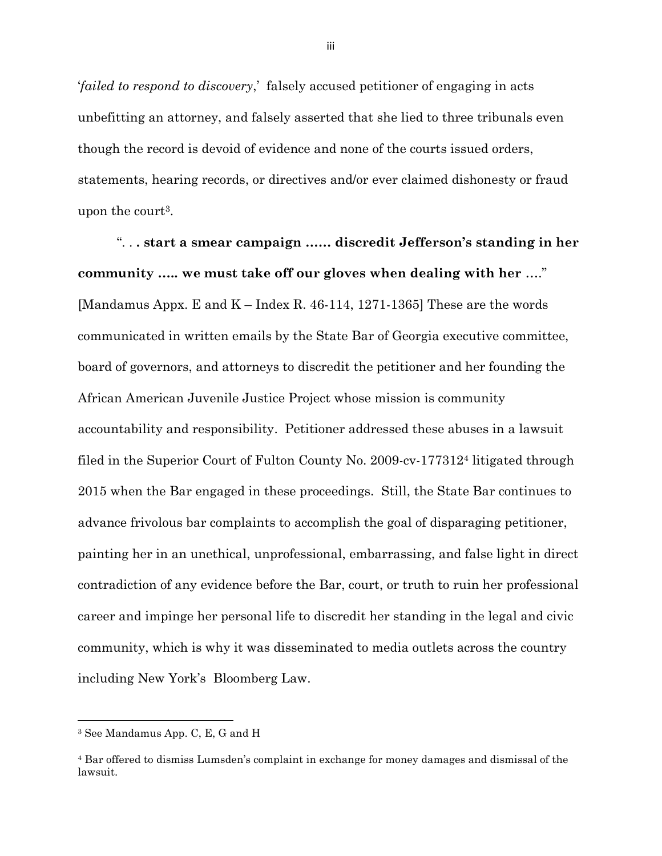'*failed to respond to discovery*,' falsely accused petitioner of engaging in acts unbefitting an attorney, and falsely asserted that she lied to three tribunals even though the record is devoid of evidence and none of the courts issued orders, statements, hearing records, or directives and/or ever claimed dishonesty or fraud upon the court<sup>3</sup>.

". . **. start a smear campaign …… discredit Jefferson's standing in her community ….. we must take off our gloves when dealing with her** …." [Mandamus Appx. E and  $K$  – Index R. 46-114, 1271-1365] These are the words communicated in written emails by the State Bar of Georgia executive committee, board of governors, and attorneys to discredit the petitioner and her founding the African American Juvenile Justice Project whose mission is community accountability and responsibility. Petitioner addressed these abuses in a lawsuit filed in the Superior Court of Fulton County No. 2009-cv-177312<sup>4</sup> litigated through 2015 when the Bar engaged in these proceedings. Still, the State Bar continues to advance frivolous bar complaints to accomplish the goal of disparaging petitioner, painting her in an unethical, unprofessional, embarrassing, and false light in direct contradiction of any evidence before the Bar, court, or truth to ruin her professional career and impinge her personal life to discredit her standing in the legal and civic community, which is why it was disseminated to media outlets across the country including New York's Bloomberg Law.

<sup>3</sup> See Mandamus App. C, E, G and H

<sup>4</sup> Bar offered to dismiss Lumsden's complaint in exchange for money damages and dismissal of the lawsuit.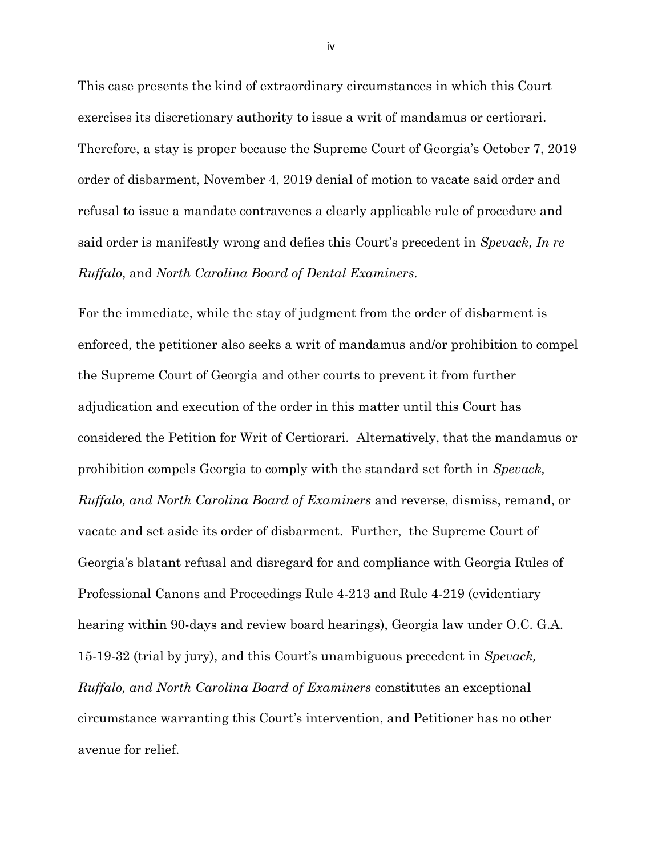This case presents the kind of extraordinary circumstances in which this Court exercises its discretionary authority to issue a writ of mandamus or certiorari. Therefore, a stay is proper because the Supreme Court of Georgia's October 7, 2019 order of disbarment, November 4, 2019 denial of motion to vacate said order and refusal to issue a mandate contravenes a clearly applicable rule of procedure and said order is manifestly wrong and defies this Court's precedent in *Spevack, In re Ruffalo*, and *North Carolina Board of Dental Examiners.*

For the immediate, while the stay of judgment from the order of disbarment is enforced, the petitioner also seeks a writ of mandamus and/or prohibition to compel the Supreme Court of Georgia and other courts to prevent it from further adjudication and execution of the order in this matter until this Court has considered the Petition for Writ of Certiorari. Alternatively, that the mandamus or prohibition compels Georgia to comply with the standard set forth in *Spevack, Ruffalo, and North Carolina Board of Examiners* and reverse, dismiss, remand, or vacate and set aside its order of disbarment. Further, the Supreme Court of Georgia's blatant refusal and disregard for and compliance with Georgia Rules of Professional Canons and Proceedings Rule 4-213 and Rule 4-219 (evidentiary hearing within 90-days and review board hearings), Georgia law under O.C. G.A. 15-19-32 (trial by jury), and this Court's unambiguous precedent in *Spevack, Ruffalo, and North Carolina Board of Examiners* constitutes an exceptional circumstance warranting this Court's intervention, and Petitioner has no other avenue for relief.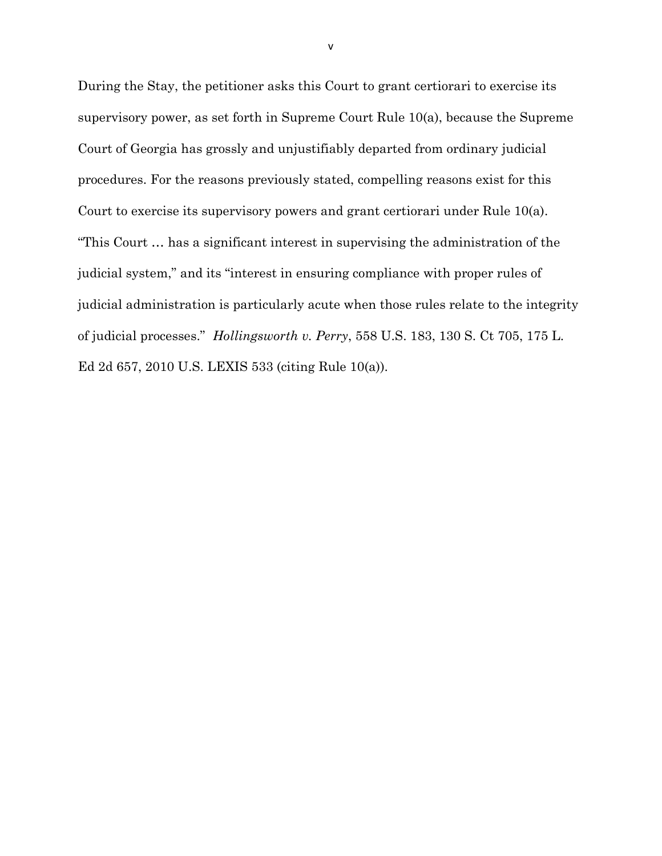During the Stay, the petitioner asks this Court to grant certiorari to exercise its supervisory power, as set forth in Supreme Court Rule 10(a), because the Supreme Court of Georgia has grossly and unjustifiably departed from ordinary judicial procedures. For the reasons previously stated, compelling reasons exist for this Court to exercise its supervisory powers and grant certiorari under Rule 10(a). "This Court … has a significant interest in supervising the administration of the judicial system," and its "interest in ensuring compliance with proper rules of judicial administration is particularly acute when those rules relate to the integrity of judicial processes." *Hollingsworth v. Perry*, 558 U.S. 183, 130 S. Ct 705, 175 L. Ed 2d 657, 2010 U.S. LEXIS 533 (citing Rule 10(a)).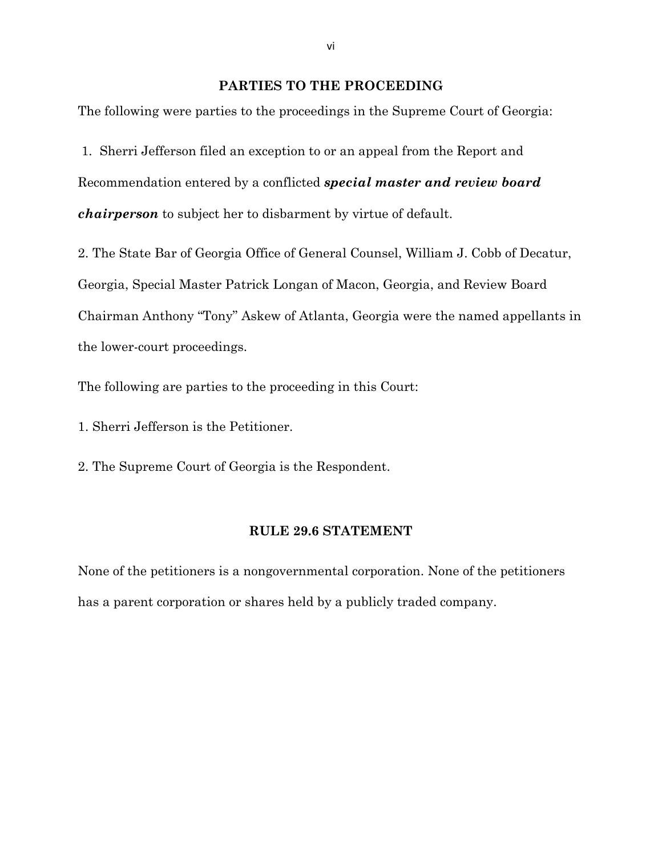### **PARTIES TO THE PROCEEDING**

The following were parties to the proceedings in the Supreme Court of Georgia:

1. Sherri Jefferson filed an exception to or an appeal from the Report and Recommendation entered by a conflicted *special master and review board chairperson* to subject her to disbarment by virtue of default.

2. The State Bar of Georgia Office of General Counsel, William J. Cobb of Decatur, Georgia, Special Master Patrick Longan of Macon, Georgia, and Review Board Chairman Anthony "Tony" Askew of Atlanta, Georgia were the named appellants in the lower-court proceedings.

The following are parties to the proceeding in this Court:

1. Sherri Jefferson is the Petitioner.

2. The Supreme Court of Georgia is the Respondent.

#### **RULE 29.6 STATEMENT**

None of the petitioners is a nongovernmental corporation. None of the petitioners has a parent corporation or shares held by a publicly traded company.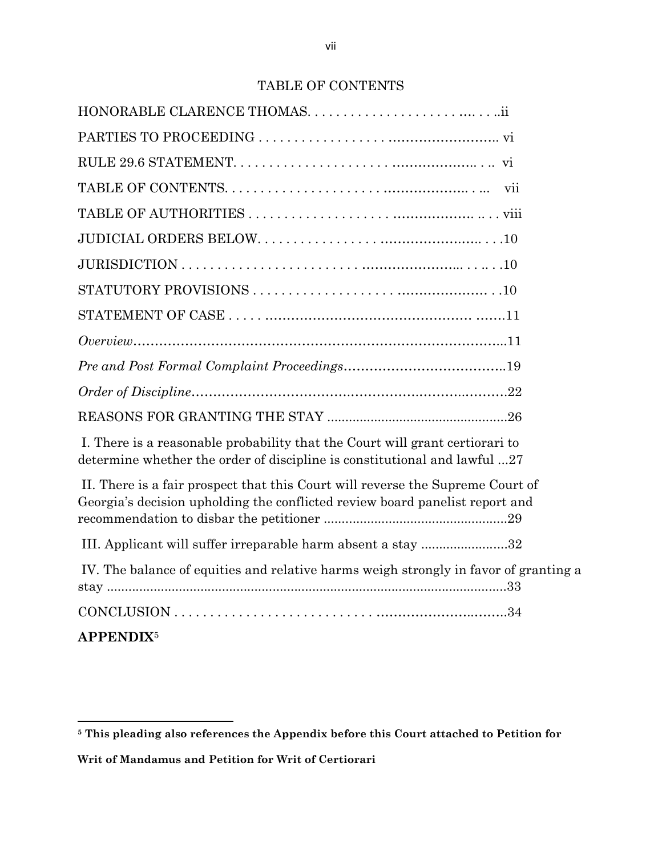## TABLE OF CONTENTS

| I. There is a reasonable probability that the Court will grant certiorari to<br>determine whether the order of discipline is constitutional and lawful 27      |  |
|----------------------------------------------------------------------------------------------------------------------------------------------------------------|--|
| II. There is a fair prospect that this Court will reverse the Supreme Court of<br>Georgia's decision upholding the conflicted review board panelist report and |  |
| III. Applicant will suffer irreparable harm absent a stay 32                                                                                                   |  |
| IV. The balance of equities and relative harms weigh strongly in favor of granting a                                                                           |  |
|                                                                                                                                                                |  |
| <b>APPENDIX<sup>5</sup></b>                                                                                                                                    |  |

**Writ of Mandamus and Petition for Writ of Certiorari** 

**<sup>5</sup> This pleading also references the Appendix before this Court attached to Petition for**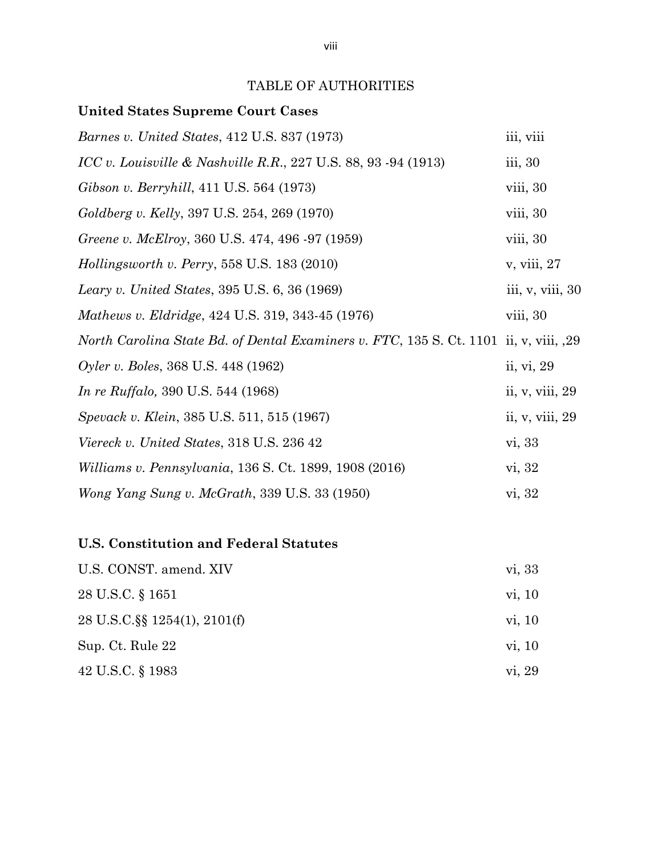## TABLE OF AUTHORITIES

### **United States Supreme Court Cases**

| <i>Barnes v. United States, 412 U.S. 837 (1973)</i>                                   | iii, viii         |
|---------------------------------------------------------------------------------------|-------------------|
| ICC v. Louisville & Nashville R.R., 227 U.S. 88, 93 -94 (1913)                        | iii, 30           |
| Gibson v. Berryhill, 411 U.S. 564 (1973)                                              | viii, 30          |
| Goldberg v. Kelly, 397 U.S. 254, 269 (1970)                                           | viii, 30          |
| Greene v. McElroy, 360 U.S. 474, 496 -97 (1959)                                       | viii, 30          |
| Hollingsworth v. Perry, 558 U.S. $183(2010)$                                          | v, viii, 27       |
| Leary v. United States, 395 U.S. 6, 36 (1969)                                         | iii, v, viii, 30  |
| Mathews v. Eldridge, 424 U.S. 319, 343-45 (1976)                                      | viii, 30          |
| North Carolina State Bd. of Dental Examiners v. FTC, 135 S. Ct. 1101 ii, v, viii, ,29 |                   |
| Oyler v. Boles, 368 U.S. 448 (1962)                                                   | ii, vi, 29        |
| <i>In re Ruffalo, 390 U.S.</i> 544 (1968)                                             | ii, v, viii, $29$ |
| Spevack v. Klein, 385 U.S. 511, 515 (1967)                                            | ii, v, viii, 29   |
| Viereck v. United States, 318 U.S. 236 42                                             | vi, 33            |
| Williams v. Pennsylvania, 136 S. Ct. 1899, 1908 (2016)                                | vi, 32            |
| Wong Yang Sung v. McGrath, 339 U.S. 33 (1950)                                         | vi, 32            |

## **U.S. Constitution and Federal Statutes**

| U.S. CONST. amend. XIV       | vi, 33 |
|------------------------------|--------|
| 28 U.S.C. § 1651             | vi, 10 |
| 28 U.S.C. § 1254(1), 2101(f) | vi, 10 |
| Sup. Ct. Rule 22             | vi, 10 |
| 42 U.S.C. § 1983             | vi, 29 |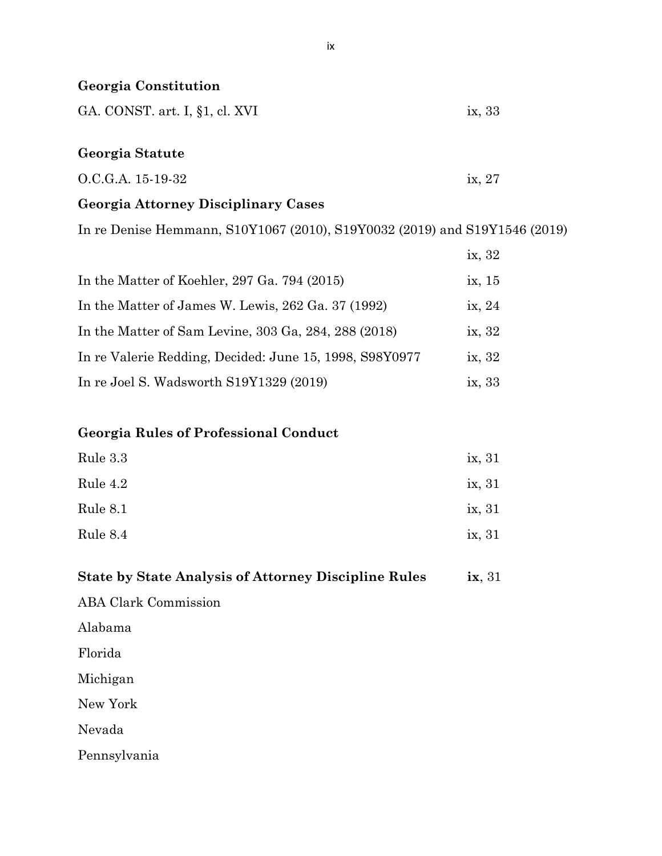| <b>Georgia Constitution</b>                |        |
|--------------------------------------------|--------|
| GA. CONST. art. I, §1, cl. XVI             | ix, 33 |
| Georgia Statute                            |        |
| O.C.G.A. 15-19-32                          | ix, 27 |
| <b>Georgia Attorney Disciplinary Cases</b> |        |

In re Denise Hemmann, S10Y1067 (2010), S19Y0032 (2019) and S19Y1546 (2019)

|                                                                 | ix, 32 |
|-----------------------------------------------------------------|--------|
| In the Matter of Koehler, 297 Ga. 794 $(2015)$                  | ix, 15 |
| In the Matter of James W. Lewis, 262 Ga. 37 (1992)              | ix, 24 |
| In the Matter of Sam Levine, $303$ Ga, $284$ , $288$ ( $2018$ ) | ix, 32 |
| In re Valerie Redding, Decided: June 15, 1998, S98Y0977         | ix, 32 |
| In re Joel S. Wadsworth S19Y1329 (2019)                         | ix, 33 |

## **Georgia Rules of Professional Conduct**

| Rule 3.3 | ix, 31 |
|----------|--------|
| Rule 4.2 | ix, 31 |
| Rule 8.1 | ix, 31 |
| Rule 8.4 | ix, 31 |

| <b>State by State Analysis of Attorney Discipline Rules</b> | $i\mathbf{x}, 31$ |
|-------------------------------------------------------------|-------------------|
| <b>ABA Clark Commission</b>                                 |                   |
| Alabama                                                     |                   |
| Florida                                                     |                   |
| Michigan                                                    |                   |
| New York                                                    |                   |
| Nevada                                                      |                   |
| Pennsylvania                                                |                   |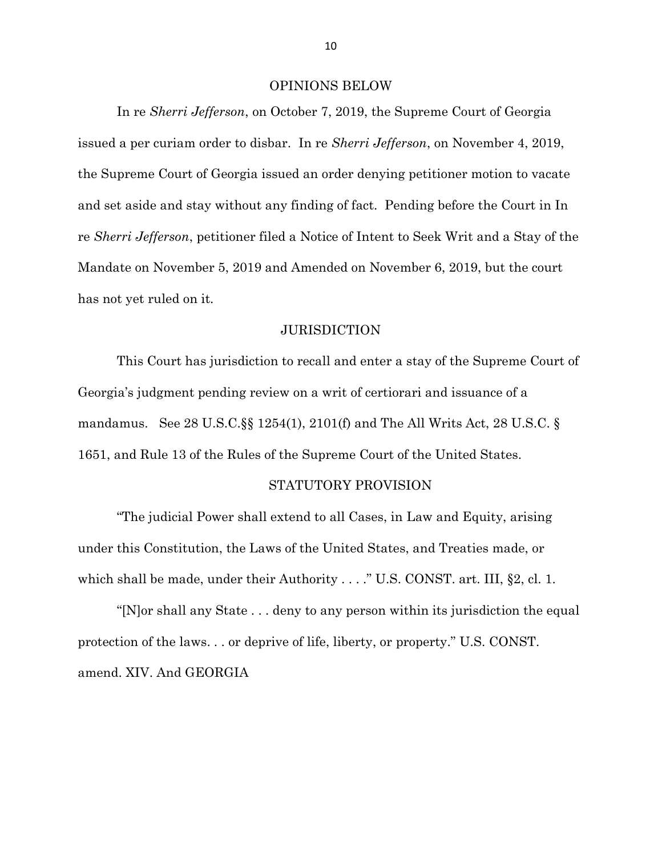#### OPINIONS BELOW

In re *Sherri Jefferson*, on October 7, 2019, the Supreme Court of Georgia issued a per curiam order to disbar. In re *Sherri Jefferson*, on November 4, 2019, the Supreme Court of Georgia issued an order denying petitioner motion to vacate and set aside and stay without any finding of fact. Pending before the Court in In re *Sherri Jefferson*, petitioner filed a Notice of Intent to Seek Writ and a Stay of the Mandate on November 5, 2019 and Amended on November 6, 2019, but the court has not yet ruled on it.

#### JURISDICTION

This Court has jurisdiction to recall and enter a stay of the Supreme Court of Georgia's judgment pending review on a writ of certiorari and issuance of a mandamus. See 28 U.S.C.§§ 1254(1), 2101(f) and The All Writs Act, 28 U.S.C. § 1651, and Rule 13 of the Rules of the Supreme Court of the United States.

#### STATUTORY PROVISION

"The judicial Power shall extend to all Cases, in Law and Equity, arising under this Constitution, the Laws of the United States, and Treaties made, or which shall be made, under their Authority . . . ." U.S. CONST. art. III, §2, cl. 1.

"[N]or shall any State . . . deny to any person within its jurisdiction the equal protection of the laws. . . or deprive of life, liberty, or property." U.S. CONST. amend. XIV. And GEORGIA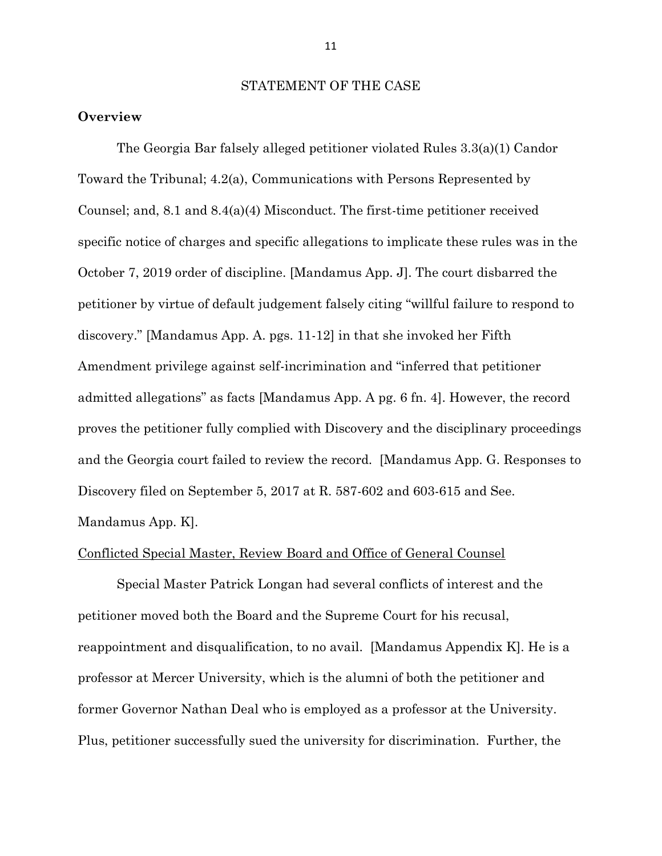#### STATEMENT OF THE CASE

#### **Overview**

The Georgia Bar falsely alleged petitioner violated Rules 3.3(a)(1) Candor Toward the Tribunal; 4.2(a), Communications with Persons Represented by Counsel; and, 8.1 and 8.4(a)(4) Misconduct. The first-time petitioner received specific notice of charges and specific allegations to implicate these rules was in the October 7, 2019 order of discipline. [Mandamus App. J]. The court disbarred the petitioner by virtue of default judgement falsely citing "willful failure to respond to discovery." [Mandamus App. A. pgs. 11-12] in that she invoked her Fifth Amendment privilege against self-incrimination and "inferred that petitioner admitted allegations" as facts [Mandamus App. A pg. 6 fn. 4]. However, the record proves the petitioner fully complied with Discovery and the disciplinary proceedings and the Georgia court failed to review the record. [Mandamus App. G. Responses to Discovery filed on September 5, 2017 at R. 587-602 and 603-615 and See. Mandamus App. K].

#### Conflicted Special Master, Review Board and Office of General Counsel

Special Master Patrick Longan had several conflicts of interest and the petitioner moved both the Board and the Supreme Court for his recusal, reappointment and disqualification, to no avail. [Mandamus Appendix K]. He is a professor at Mercer University, which is the alumni of both the petitioner and former Governor Nathan Deal who is employed as a professor at the University. Plus, petitioner successfully sued the university for discrimination. Further, the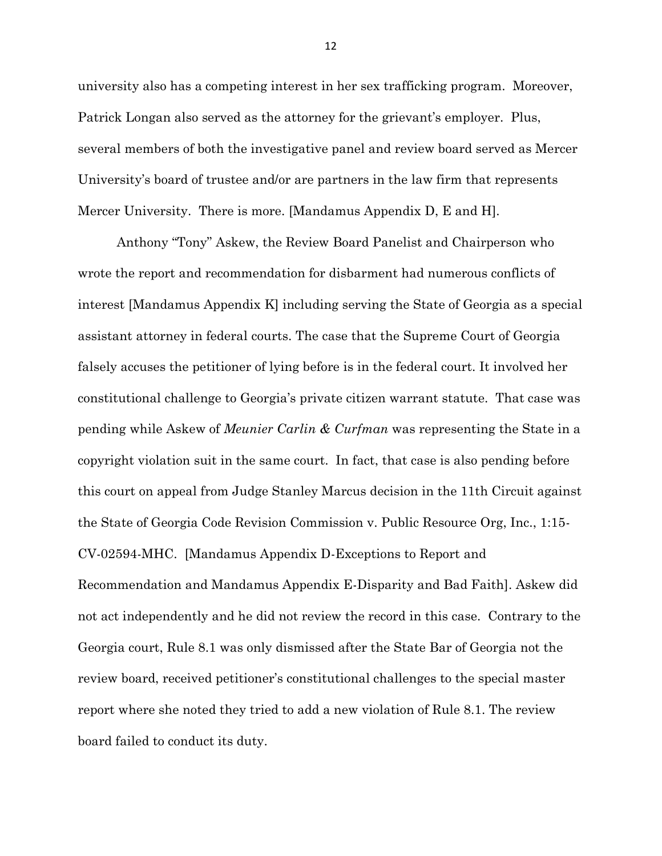university also has a competing interest in her sex trafficking program. Moreover, Patrick Longan also served as the attorney for the grievant's employer. Plus, several members of both the investigative panel and review board served as Mercer University's board of trustee and/or are partners in the law firm that represents Mercer University. There is more. [Mandamus Appendix D, E and H].

Anthony "Tony" Askew, the Review Board Panelist and Chairperson who wrote the report and recommendation for disbarment had numerous conflicts of interest [Mandamus Appendix K] including serving the State of Georgia as a special assistant attorney in federal courts. The case that the Supreme Court of Georgia falsely accuses the petitioner of lying before is in the federal court. It involved her constitutional challenge to Georgia's private citizen warrant statute. That case was pending while Askew of *Meunier Carlin & Curfman* was representing the State in a copyright violation suit in the same court. In fact, that case is also pending before this court on appeal from Judge Stanley Marcus decision in the 11th Circuit against the State of Georgia Code Revision Commission v. Public Resource Org, Inc., 1:15- CV-02594-MHC. [Mandamus Appendix D-Exceptions to Report and Recommendation and Mandamus Appendix E-Disparity and Bad Faith]. Askew did not act independently and he did not review the record in this case. Contrary to the Georgia court, Rule 8.1 was only dismissed after the State Bar of Georgia not the review board, received petitioner's constitutional challenges to the special master report where she noted they tried to add a new violation of Rule 8.1. The review board failed to conduct its duty.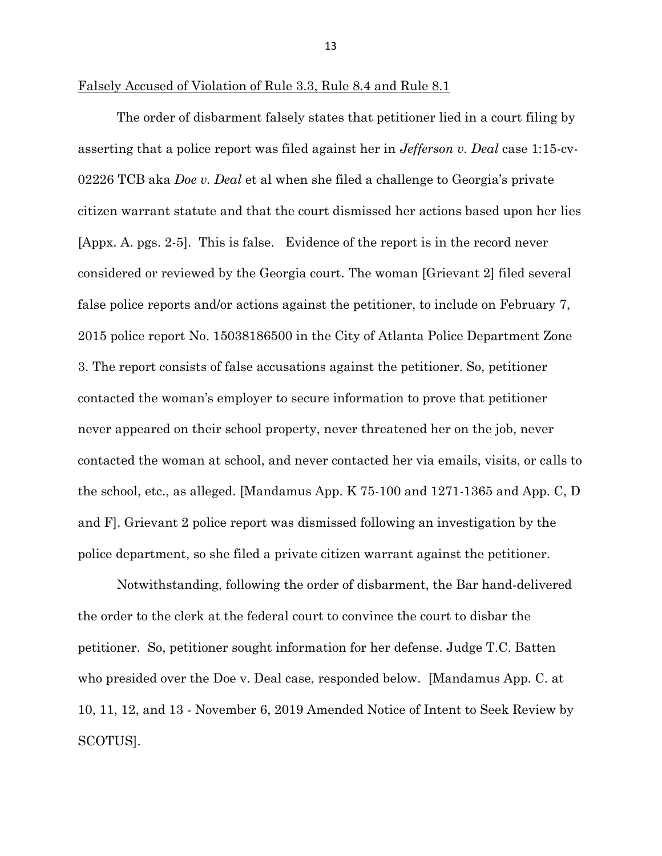Falsely Accused of Violation of Rule 3.3, Rule 8.4 and Rule 8.1

The order of disbarment falsely states that petitioner lied in a court filing by asserting that a police report was filed against her in *Jefferson v. Deal* case 1:15-cv-02226 TCB aka *Doe v. Deal* et al when she filed a challenge to Georgia's private citizen warrant statute and that the court dismissed her actions based upon her lies [Appx. A. pgs. 2-5]. This is false. Evidence of the report is in the record never considered or reviewed by the Georgia court. The woman [Grievant 2] filed several false police reports and/or actions against the petitioner, to include on February 7, 2015 police report No. 15038186500 in the City of Atlanta Police Department Zone 3. The report consists of false accusations against the petitioner. So, petitioner contacted the woman's employer to secure information to prove that petitioner never appeared on their school property, never threatened her on the job, never contacted the woman at school, and never contacted her via emails, visits, or calls to the school, etc., as alleged. [Mandamus App. K 75-100 and 1271-1365 and App. C, D and F]. Grievant 2 police report was dismissed following an investigation by the police department, so she filed a private citizen warrant against the petitioner.

Notwithstanding, following the order of disbarment, the Bar hand-delivered the order to the clerk at the federal court to convince the court to disbar the petitioner. So, petitioner sought information for her defense. Judge T.C. Batten who presided over the Doe v. Deal case, responded below. [Mandamus App. C. at 10, 11, 12, and 13 - November 6, 2019 Amended Notice of Intent to Seek Review by SCOTUS].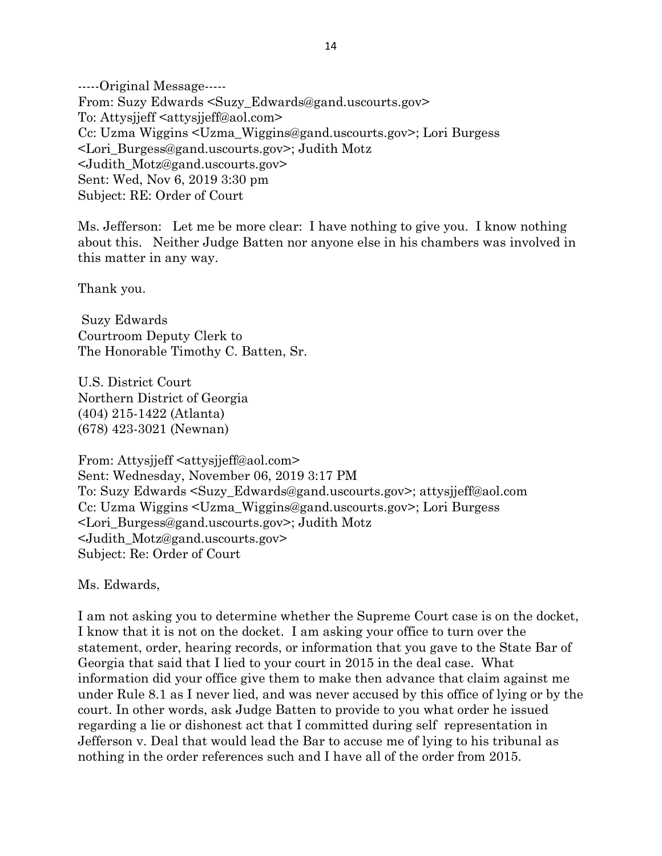-----Original Message----- From: Suzy Edwards <Suzy\_Edwards@gand.uscourts.gov> To: Attysjjeff <attysjjeff@aol.com> Cc: Uzma Wiggins <Uzma\_Wiggins@gand.uscourts.gov>; Lori Burgess <Lori\_Burgess@gand.uscourts.gov>; Judith Motz <Judith\_Motz@gand.uscourts.gov> Sent: Wed, Nov 6, 2019 3:30 pm Subject: RE: Order of Court

Ms. Jefferson: Let me be more clear: I have nothing to give you. I know nothing about this. Neither Judge Batten nor anyone else in his chambers was involved in this matter in any way.

Thank you.

Suzy Edwards Courtroom Deputy Clerk to The Honorable Timothy C. Batten, Sr.

U.S. District Court Northern District of Georgia (404) 215-1422 (Atlanta) (678) 423-3021 (Newnan)

From: Attysjjeff <attysjjeff@aol.com> Sent: Wednesday, November 06, 2019 3:17 PM To: Suzy Edwards <Suzy\_Edwards@gand.uscourts.gov>; attysjjeff@aol.com Cc: Uzma Wiggins <Uzma\_Wiggins@gand.uscourts.gov>; Lori Burgess <Lori\_Burgess@gand.uscourts.gov>; Judith Motz <Judith\_Motz@gand.uscourts.gov> Subject: Re: Order of Court

Ms. Edwards,

I am not asking you to determine whether the Supreme Court case is on the docket, I know that it is not on the docket. I am asking your office to turn over the statement, order, hearing records, or information that you gave to the State Bar of Georgia that said that I lied to your court in 2015 in the deal case. What information did your office give them to make then advance that claim against me under Rule 8.1 as I never lied, and was never accused by this office of lying or by the court. In other words, ask Judge Batten to provide to you what order he issued regarding a lie or dishonest act that I committed during self representation in Jefferson v. Deal that would lead the Bar to accuse me of lying to his tribunal as nothing in the order references such and I have all of the order from 2015.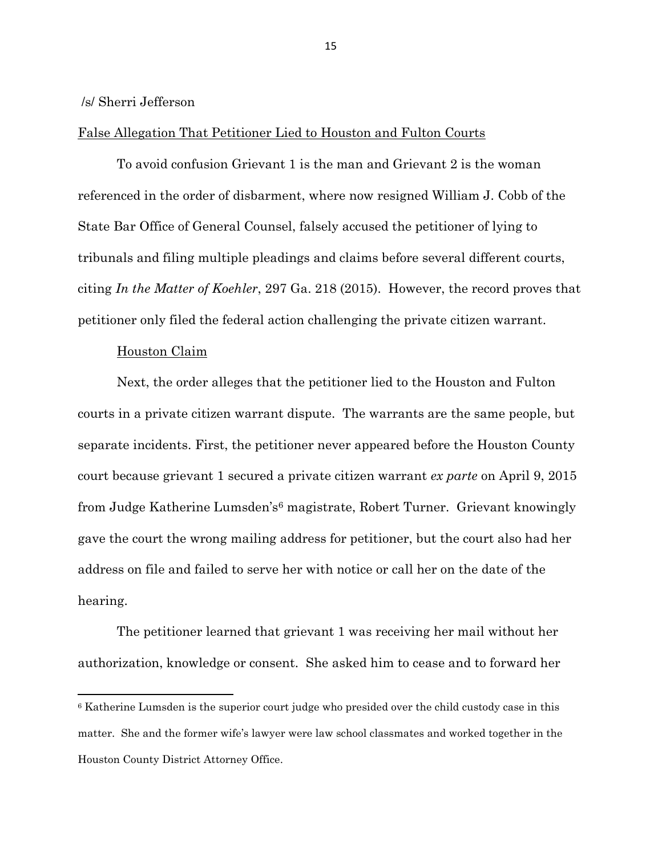#### /s/ Sherri Jefferson

#### False Allegation That Petitioner Lied to Houston and Fulton Courts

To avoid confusion Grievant 1 is the man and Grievant 2 is the woman referenced in the order of disbarment, where now resigned William J. Cobb of the State Bar Office of General Counsel, falsely accused the petitioner of lying to tribunals and filing multiple pleadings and claims before several different courts, citing *In the Matter of Koehler*, 297 Ga. 218 (2015). However, the record proves that petitioner only filed the federal action challenging the private citizen warrant.

#### Houston Claim

Next, the order alleges that the petitioner lied to the Houston and Fulton courts in a private citizen warrant dispute. The warrants are the same people, but separate incidents. First, the petitioner never appeared before the Houston County court because grievant 1 secured a private citizen warrant *ex parte* on April 9, 2015 from Judge Katherine Lumsden's<sup>6</sup> magistrate, Robert Turner. Grievant knowingly gave the court the wrong mailing address for petitioner, but the court also had her address on file and failed to serve her with notice or call her on the date of the hearing.

The petitioner learned that grievant 1 was receiving her mail without her authorization, knowledge or consent. She asked him to cease and to forward her

<sup>6</sup> Katherine Lumsden is the superior court judge who presided over the child custody case in this matter. She and the former wife's lawyer were law school classmates and worked together in the Houston County District Attorney Office.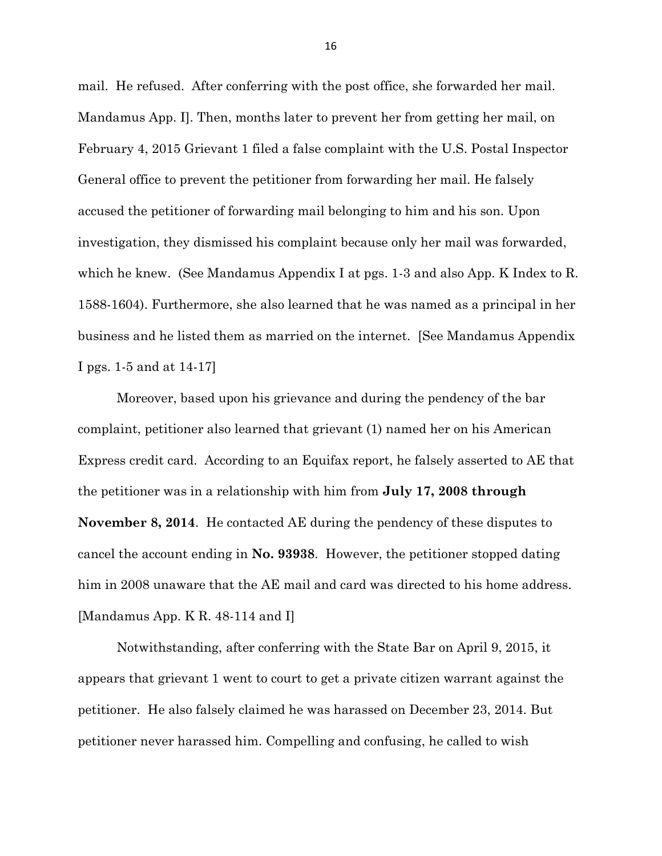mail. He refused. After conferring with the post office, she forwarded her mail. Mandamus App. I]. Then, months later to prevent her from getting her mail, on February 4, 2015 Grievant 1 filed a false complaint with the U.S. Postal Inspector General office to prevent the petitioner from forwarding her mail. He falsely accused the petitioner of forwarding mail belonging to him and his son. Upon investigation, they dismissed his complaint because only her mail was forwarded, which he knew. (See Mandamus Appendix I at pgs. 1-3 and also App. K Index to R. 1588-1604). Furthermore, she also learned that he was named as a principal in her business and he listed them as married on the internet. [See Mandamus Appendix I pgs. 1-5 and at 14-17]

Moreover, based upon his grievance and during the pendency of the bar complaint, petitioner also learned that grievant (1) named her on his American Express credit card. According to an Equifax report, he falsely asserted to AE that the petitioner was in a relationship with him from **July 17, 2008 through November 8, 2014**. He contacted AE during the pendency of these disputes to cancel the account ending in **No. 93938**. However, the petitioner stopped dating him in 2008 unaware that the AE mail and card was directed to his home address. [Mandamus App. K R. 48-114 and I]

Notwithstanding, after conferring with the State Bar on April 9, 2015, it appears that grievant 1 went to court to get a private citizen warrant against the petitioner. He also falsely claimed he was harassed on December 23, 2014. But petitioner never harassed him. Compelling and confusing, he called to wish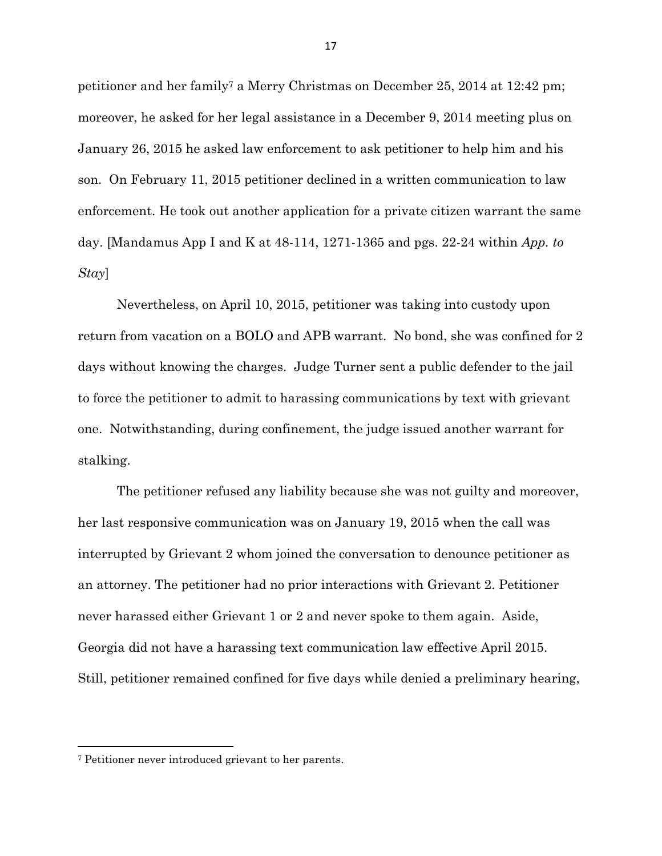petitioner and her family<sup>7</sup> a Merry Christmas on December 25, 2014 at 12:42 pm; moreover, he asked for her legal assistance in a December 9, 2014 meeting plus on January 26, 2015 he asked law enforcement to ask petitioner to help him and his son. On February 11, 2015 petitioner declined in a written communication to law enforcement. He took out another application for a private citizen warrant the same day. [Mandamus App I and K at 48-114, 1271-1365 and pgs. 22-24 within *App. to Stay*]

Nevertheless, on April 10, 2015, petitioner was taking into custody upon return from vacation on a BOLO and APB warrant. No bond, she was confined for 2 days without knowing the charges. Judge Turner sent a public defender to the jail to force the petitioner to admit to harassing communications by text with grievant one. Notwithstanding, during confinement, the judge issued another warrant for stalking.

The petitioner refused any liability because she was not guilty and moreover, her last responsive communication was on January 19, 2015 when the call was interrupted by Grievant 2 whom joined the conversation to denounce petitioner as an attorney. The petitioner had no prior interactions with Grievant 2. Petitioner never harassed either Grievant 1 or 2 and never spoke to them again. Aside, Georgia did not have a harassing text communication law effective April 2015. Still, petitioner remained confined for five days while denied a preliminary hearing,

<sup>7</sup> Petitioner never introduced grievant to her parents.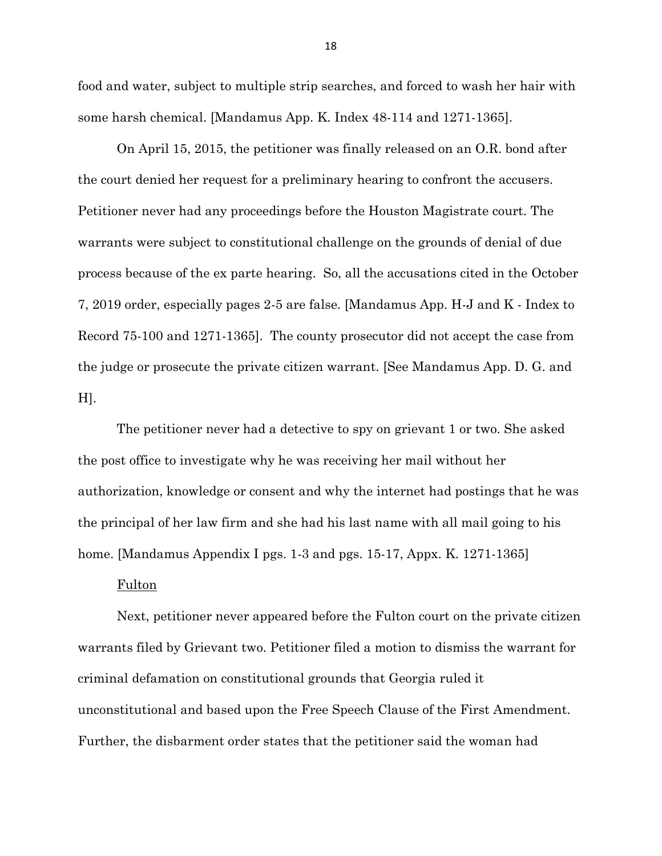food and water, subject to multiple strip searches, and forced to wash her hair with some harsh chemical. [Mandamus App. K. Index 48-114 and 1271-1365].

On April 15, 2015, the petitioner was finally released on an O.R. bond after the court denied her request for a preliminary hearing to confront the accusers. Petitioner never had any proceedings before the Houston Magistrate court. The warrants were subject to constitutional challenge on the grounds of denial of due process because of the ex parte hearing. So, all the accusations cited in the October 7, 2019 order, especially pages 2-5 are false. [Mandamus App. H-J and K - Index to Record 75-100 and 1271-1365]. The county prosecutor did not accept the case from the judge or prosecute the private citizen warrant. [See Mandamus App. D. G. and H].

The petitioner never had a detective to spy on grievant 1 or two. She asked the post office to investigate why he was receiving her mail without her authorization, knowledge or consent and why the internet had postings that he was the principal of her law firm and she had his last name with all mail going to his home. [Mandamus Appendix I pgs. 1-3 and pgs. 15-17, Appx. K. 1271-1365]

#### Fulton

Next, petitioner never appeared before the Fulton court on the private citizen warrants filed by Grievant two. Petitioner filed a motion to dismiss the warrant for criminal defamation on constitutional grounds that Georgia ruled it unconstitutional and based upon the Free Speech Clause of the First Amendment. Further, the disbarment order states that the petitioner said the woman had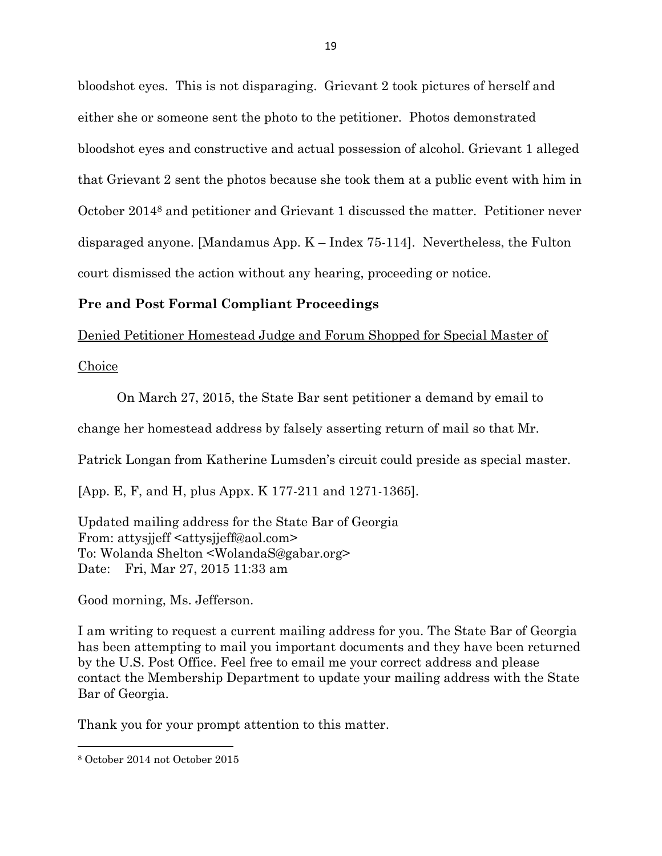bloodshot eyes. This is not disparaging. Grievant 2 took pictures of herself and either she or someone sent the photo to the petitioner. Photos demonstrated bloodshot eyes and constructive and actual possession of alcohol. Grievant 1 alleged that Grievant 2 sent the photos because she took them at a public event with him in October 2014<sup>8</sup> and petitioner and Grievant 1 discussed the matter. Petitioner never disparaged anyone. [Mandamus App. K – Index 75-114]. Nevertheless, the Fulton court dismissed the action without any hearing, proceeding or notice.

#### **Pre and Post Formal Compliant Proceedings**

Denied Petitioner Homestead Judge and Forum Shopped for Special Master of

**Choice** 

On March 27, 2015, the State Bar sent petitioner a demand by email to

change her homestead address by falsely asserting return of mail so that Mr.

Patrick Longan from Katherine Lumsden's circuit could preside as special master.

[App. E, F, and H, plus Appx. K 177-211 and 1271-1365].

Updated mailing address for the State Bar of Georgia From: attysjjeff <attysjjeff@aol.com> To: Wolanda Shelton <WolandaS@gabar.org> Date: Fri, Mar 27, 2015 11:33 am

Good morning, Ms. Jefferson.

I am writing to request a current mailing address for you. The State Bar of Georgia has been attempting to mail you important documents and they have been returned by the U.S. Post Office. Feel free to email me your correct address and please contact the Membership Department to update your mailing address with the State Bar of Georgia.

Thank you for your prompt attention to this matter.

<sup>8</sup> October 2014 not October 2015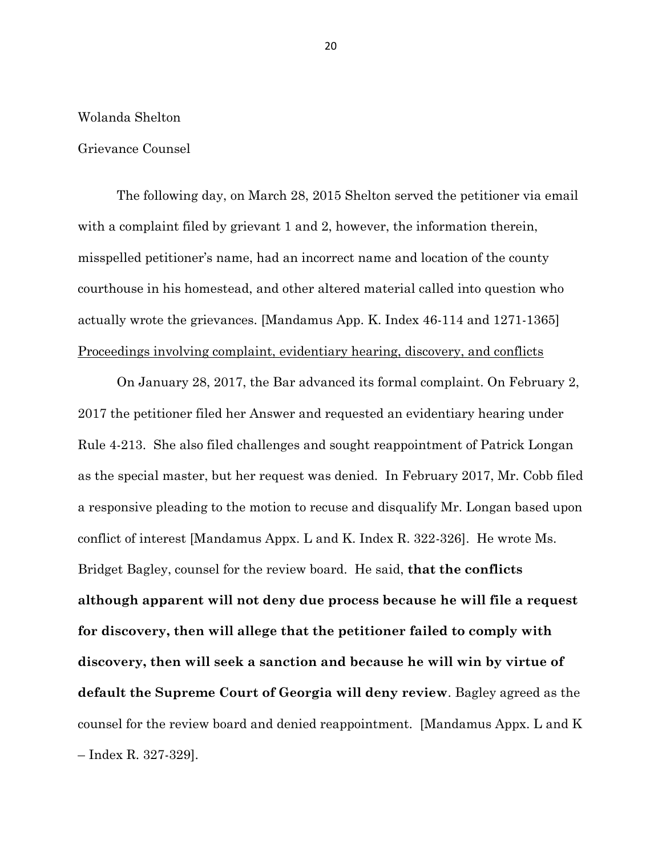#### Wolanda Shelton

#### Grievance Counsel

The following day, on March 28, 2015 Shelton served the petitioner via email with a complaint filed by grievant 1 and 2, however, the information therein, misspelled petitioner's name, had an incorrect name and location of the county courthouse in his homestead, and other altered material called into question who actually wrote the grievances. [Mandamus App. K. Index 46-114 and 1271-1365] Proceedings involving complaint, evidentiary hearing, discovery, and conflicts

On January 28, 2017, the Bar advanced its formal complaint. On February 2, 2017 the petitioner filed her Answer and requested an evidentiary hearing under Rule 4-213. She also filed challenges and sought reappointment of Patrick Longan as the special master, but her request was denied. In February 2017, Mr. Cobb filed a responsive pleading to the motion to recuse and disqualify Mr. Longan based upon conflict of interest [Mandamus Appx. L and K. Index R. 322-326]. He wrote Ms. Bridget Bagley, counsel for the review board. He said, **that the conflicts although apparent will not deny due process because he will file a request for discovery, then will allege that the petitioner failed to comply with discovery, then will seek a sanction and because he will win by virtue of default the Supreme Court of Georgia will deny review**. Bagley agreed as the counsel for the review board and denied reappointment. [Mandamus Appx. L and K – Index R. 327-329].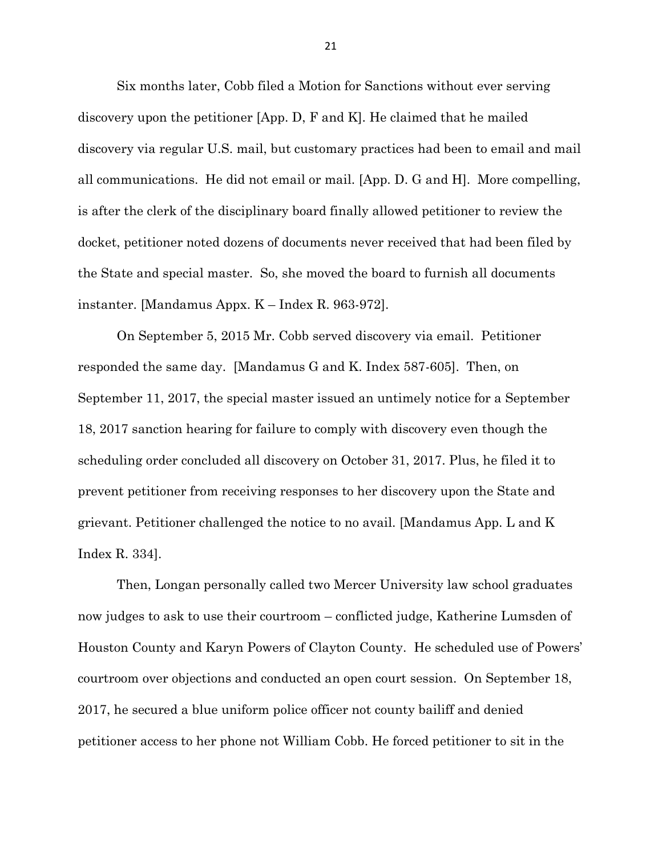Six months later, Cobb filed a Motion for Sanctions without ever serving discovery upon the petitioner [App. D, F and K]. He claimed that he mailed discovery via regular U.S. mail, but customary practices had been to email and mail all communications. He did not email or mail. [App. D. G and H]. More compelling, is after the clerk of the disciplinary board finally allowed petitioner to review the docket, petitioner noted dozens of documents never received that had been filed by the State and special master. So, she moved the board to furnish all documents instanter. [Mandamus Appx. K – Index R. 963-972].

On September 5, 2015 Mr. Cobb served discovery via email. Petitioner responded the same day. [Mandamus G and K. Index 587-605]. Then, on September 11, 2017, the special master issued an untimely notice for a September 18, 2017 sanction hearing for failure to comply with discovery even though the scheduling order concluded all discovery on October 31, 2017. Plus, he filed it to prevent petitioner from receiving responses to her discovery upon the State and grievant. Petitioner challenged the notice to no avail. [Mandamus App. L and K Index R. 334].

Then, Longan personally called two Mercer University law school graduates now judges to ask to use their courtroom – conflicted judge, Katherine Lumsden of Houston County and Karyn Powers of Clayton County. He scheduled use of Powers' courtroom over objections and conducted an open court session. On September 18, 2017, he secured a blue uniform police officer not county bailiff and denied petitioner access to her phone not William Cobb. He forced petitioner to sit in the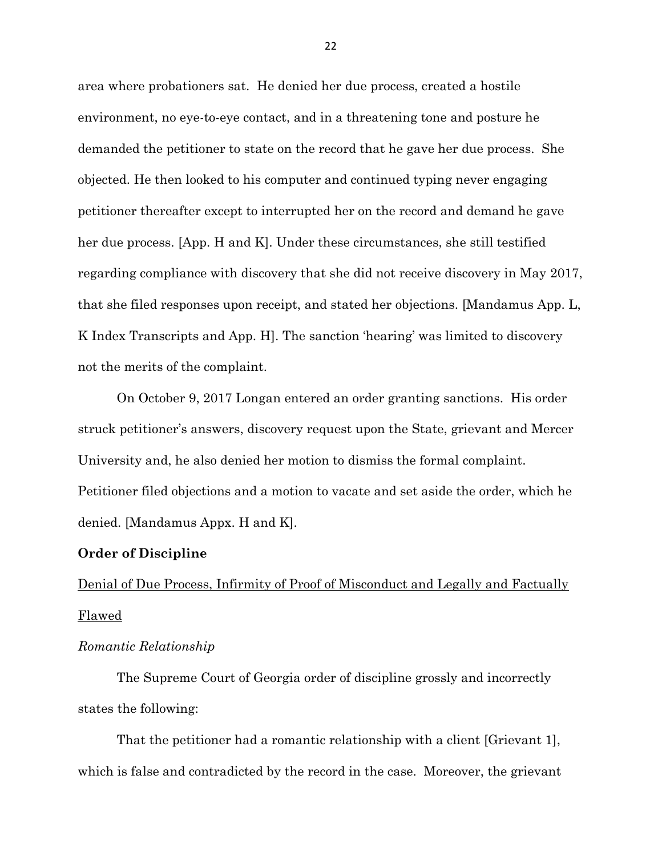area where probationers sat. He denied her due process, created a hostile environment, no eye-to-eye contact, and in a threatening tone and posture he demanded the petitioner to state on the record that he gave her due process. She objected. He then looked to his computer and continued typing never engaging petitioner thereafter except to interrupted her on the record and demand he gave her due process. [App. H and K]. Under these circumstances, she still testified regarding compliance with discovery that she did not receive discovery in May 2017, that she filed responses upon receipt, and stated her objections. [Mandamus App. L, K Index Transcripts and App. H]. The sanction 'hearing' was limited to discovery not the merits of the complaint.

On October 9, 2017 Longan entered an order granting sanctions. His order struck petitioner's answers, discovery request upon the State, grievant and Mercer University and, he also denied her motion to dismiss the formal complaint. Petitioner filed objections and a motion to vacate and set aside the order, which he denied. [Mandamus Appx. H and K].

#### **Order of Discipline**

# Denial of Due Process, Infirmity of Proof of Misconduct and Legally and Factually Flawed

#### *Romantic Relationship*

The Supreme Court of Georgia order of discipline grossly and incorrectly states the following:

That the petitioner had a romantic relationship with a client [Grievant 1], which is false and contradicted by the record in the case. Moreover, the grievant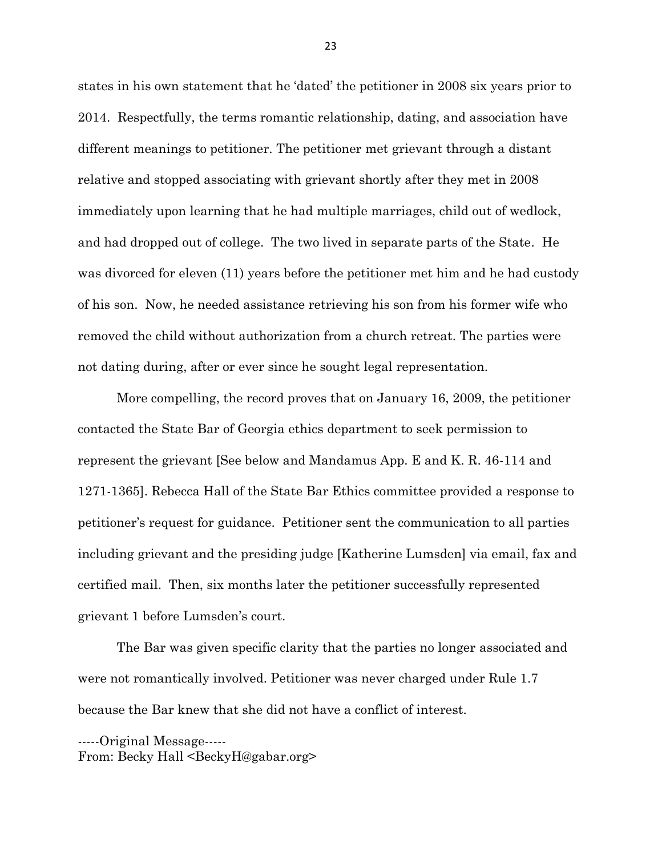states in his own statement that he 'dated' the petitioner in 2008 six years prior to 2014. Respectfully, the terms romantic relationship, dating, and association have different meanings to petitioner. The petitioner met grievant through a distant relative and stopped associating with grievant shortly after they met in 2008 immediately upon learning that he had multiple marriages, child out of wedlock, and had dropped out of college. The two lived in separate parts of the State. He was divorced for eleven (11) years before the petitioner met him and he had custody of his son. Now, he needed assistance retrieving his son from his former wife who removed the child without authorization from a church retreat. The parties were not dating during, after or ever since he sought legal representation.

More compelling, the record proves that on January 16, 2009, the petitioner contacted the State Bar of Georgia ethics department to seek permission to represent the grievant [See below and Mandamus App. E and K. R. 46-114 and 1271-1365]. Rebecca Hall of the State Bar Ethics committee provided a response to petitioner's request for guidance. Petitioner sent the communication to all parties including grievant and the presiding judge [Katherine Lumsden] via email, fax and certified mail. Then, six months later the petitioner successfully represented grievant 1 before Lumsden's court.

The Bar was given specific clarity that the parties no longer associated and were not romantically involved. Petitioner was never charged under Rule 1.7 because the Bar knew that she did not have a conflict of interest.

-----Original Message----- From: Becky Hall <BeckyH@gabar.org>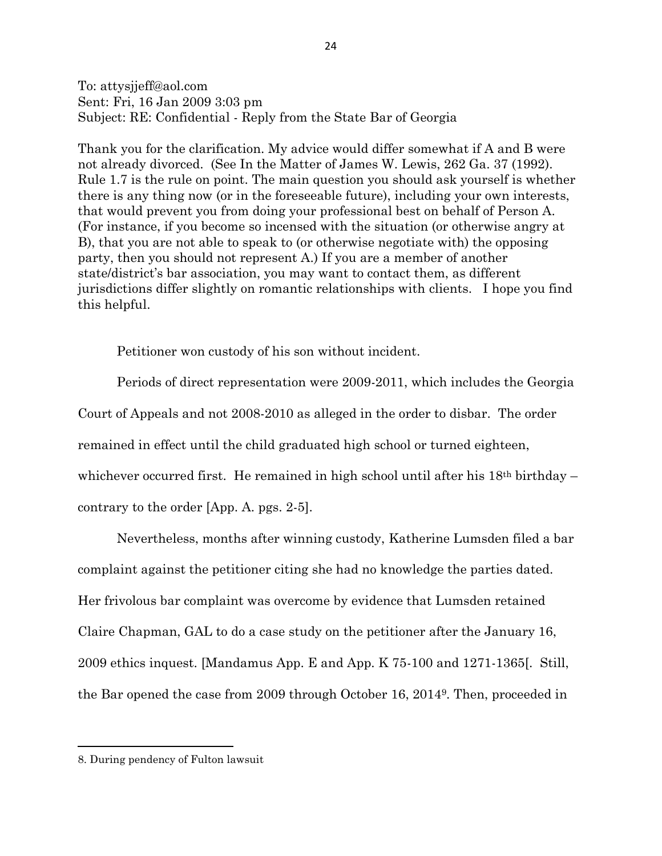To: attysjjeff@aol.com Sent: Fri, 16 Jan 2009 3:03 pm Subject: RE: Confidential - Reply from the State Bar of Georgia

Thank you for the clarification. My advice would differ somewhat if A and B were not already divorced. (See In the Matter of James W. Lewis, 262 Ga. 37 (1992). Rule 1.7 is the rule on point. The main question you should ask yourself is whether there is any thing now (or in the foreseeable future), including your own interests, that would prevent you from doing your professional best on behalf of Person A. (For instance, if you become so incensed with the situation (or otherwise angry at B), that you are not able to speak to (or otherwise negotiate with) the opposing party, then you should not represent A.) If you are a member of another state/district's bar association, you may want to contact them, as different jurisdictions differ slightly on romantic relationships with clients. I hope you find this helpful.

Petitioner won custody of his son without incident.

Periods of direct representation were 2009-2011, which includes the Georgia Court of Appeals and not 2008-2010 as alleged in the order to disbar. The order remained in effect until the child graduated high school or turned eighteen, whichever occurred first. He remained in high school until after his  $18<sup>th</sup>$  birthday – contrary to the order [App. A. pgs. 2-5].

Nevertheless, months after winning custody, Katherine Lumsden filed a bar complaint against the petitioner citing she had no knowledge the parties dated. Her frivolous bar complaint was overcome by evidence that Lumsden retained Claire Chapman, GAL to do a case study on the petitioner after the January 16, 2009 ethics inquest. [Mandamus App. E and App. K 75-100 and 1271-1365[. Still, the Bar opened the case from 2009 through October 16, 20149. Then, proceeded in

<sup>8.</sup> During pendency of Fulton lawsuit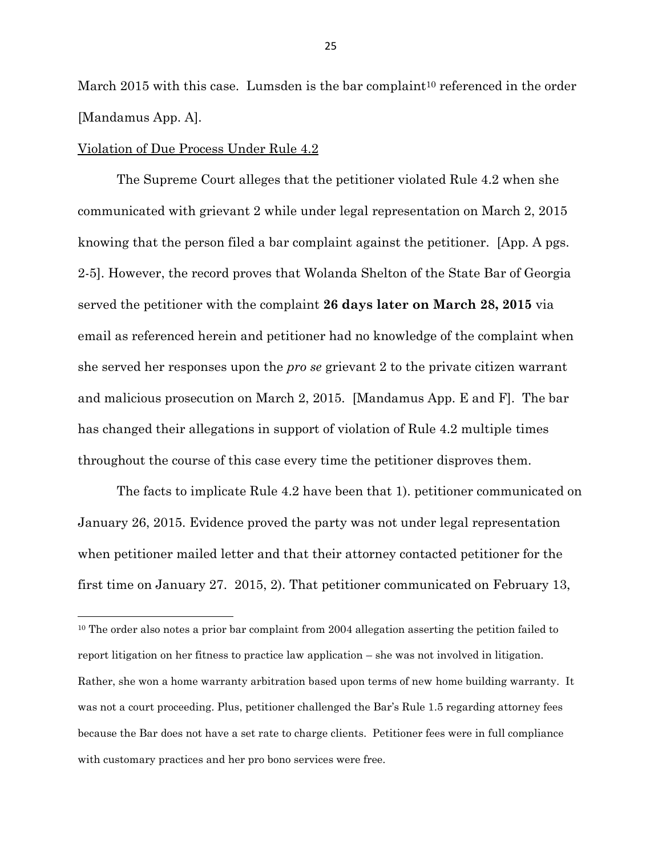March 2015 with this case. Lumsden is the bar complaint<sup>10</sup> referenced in the order [Mandamus App. A].

#### Violation of Due Process Under Rule 4.2

The Supreme Court alleges that the petitioner violated Rule 4.2 when she communicated with grievant 2 while under legal representation on March 2, 2015 knowing that the person filed a bar complaint against the petitioner. [App. A pgs. 2-5]. However, the record proves that Wolanda Shelton of the State Bar of Georgia served the petitioner with the complaint **26 days later on March 28, 2015** via email as referenced herein and petitioner had no knowledge of the complaint when she served her responses upon the *pro se* grievant 2 to the private citizen warrant and malicious prosecution on March 2, 2015. [Mandamus App. E and F]. The bar has changed their allegations in support of violation of Rule 4.2 multiple times throughout the course of this case every time the petitioner disproves them.

The facts to implicate Rule 4.2 have been that 1). petitioner communicated on January 26, 2015. Evidence proved the party was not under legal representation when petitioner mailed letter and that their attorney contacted petitioner for the first time on January 27. 2015, 2). That petitioner communicated on February 13,

<sup>&</sup>lt;sup>10</sup> The order also notes a prior bar complaint from 2004 allegation asserting the petition failed to report litigation on her fitness to practice law application – she was not involved in litigation. Rather, she won a home warranty arbitration based upon terms of new home building warranty. It was not a court proceeding. Plus, petitioner challenged the Bar's Rule 1.5 regarding attorney fees because the Bar does not have a set rate to charge clients. Petitioner fees were in full compliance with customary practices and her pro bono services were free.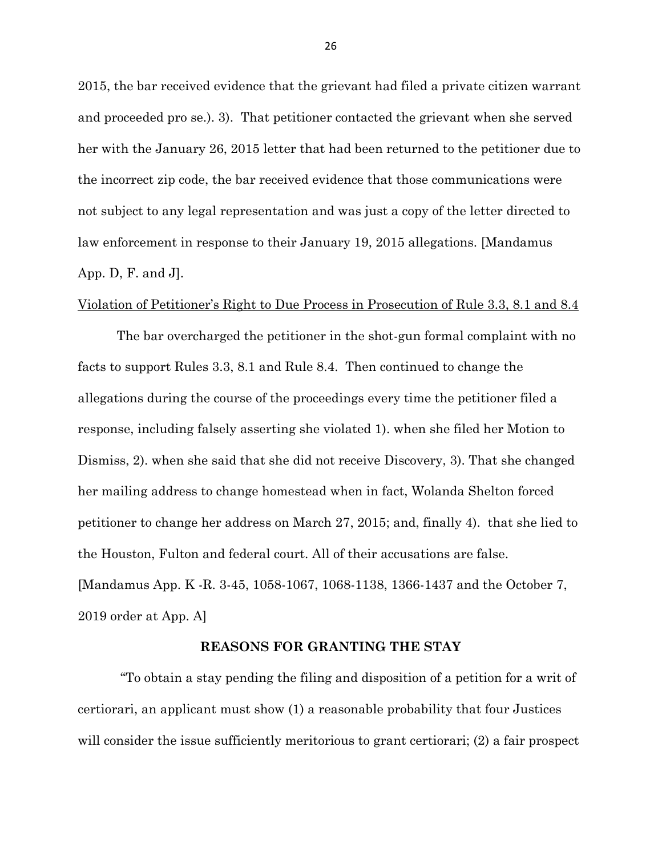2015, the bar received evidence that the grievant had filed a private citizen warrant and proceeded pro se.). 3). That petitioner contacted the grievant when she served her with the January 26, 2015 letter that had been returned to the petitioner due to the incorrect zip code, the bar received evidence that those communications were not subject to any legal representation and was just a copy of the letter directed to law enforcement in response to their January 19, 2015 allegations. [Mandamus App. D, F. and J].

#### Violation of Petitioner's Right to Due Process in Prosecution of Rule 3.3, 8.1 and 8.4

The bar overcharged the petitioner in the shot-gun formal complaint with no facts to support Rules 3.3, 8.1 and Rule 8.4. Then continued to change the allegations during the course of the proceedings every time the petitioner filed a response, including falsely asserting she violated 1). when she filed her Motion to Dismiss, 2). when she said that she did not receive Discovery, 3). That she changed her mailing address to change homestead when in fact, Wolanda Shelton forced petitioner to change her address on March 27, 2015; and, finally 4). that she lied to the Houston, Fulton and federal court. All of their accusations are false. [Mandamus App. K -R. 3-45, 1058-1067, 1068-1138, 1366-1437 and the October 7, 2019 order at App. A]

#### **REASONS FOR GRANTING THE STAY**

"To obtain a stay pending the filing and disposition of a petition for a writ of certiorari, an applicant must show (1) a reasonable probability that four Justices will consider the issue sufficiently meritorious to grant certiorari; (2) a fair prospect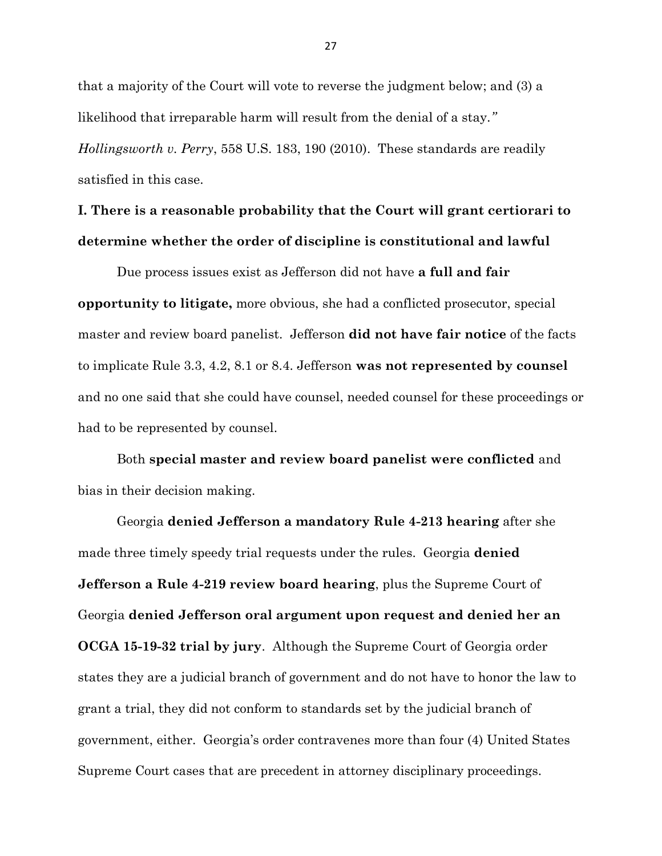that a majority of the Court will vote to reverse the judgment below; and (3) a likelihood that irreparable harm will result from the denial of a stay*." Hollingsworth v. Perry*, 558 U.S. 183, 190 (2010). These standards are readily satisfied in this case.

## **I. There is a reasonable probability that the Court will grant certiorari to determine whether the order of discipline is constitutional and lawful**

Due process issues exist as Jefferson did not have **a full and fair opportunity to litigate,** more obvious, she had a conflicted prosecutor, special master and review board panelist. Jefferson **did not have fair notice** of the facts to implicate Rule 3.3, 4.2, 8.1 or 8.4. Jefferson **was not represented by counsel** and no one said that she could have counsel, needed counsel for these proceedings or had to be represented by counsel.

Both **special master and review board panelist were conflicted** and bias in their decision making.

Georgia **denied Jefferson a mandatory Rule 4-213 hearing** after she made three timely speedy trial requests under the rules. Georgia **denied Jefferson a Rule 4-219 review board hearing**, plus the Supreme Court of Georgia **denied Jefferson oral argument upon request and denied her an OCGA 15-19-32 trial by jury**. Although the Supreme Court of Georgia order states they are a judicial branch of government and do not have to honor the law to grant a trial, they did not conform to standards set by the judicial branch of government, either. Georgia's order contravenes more than four (4) United States Supreme Court cases that are precedent in attorney disciplinary proceedings.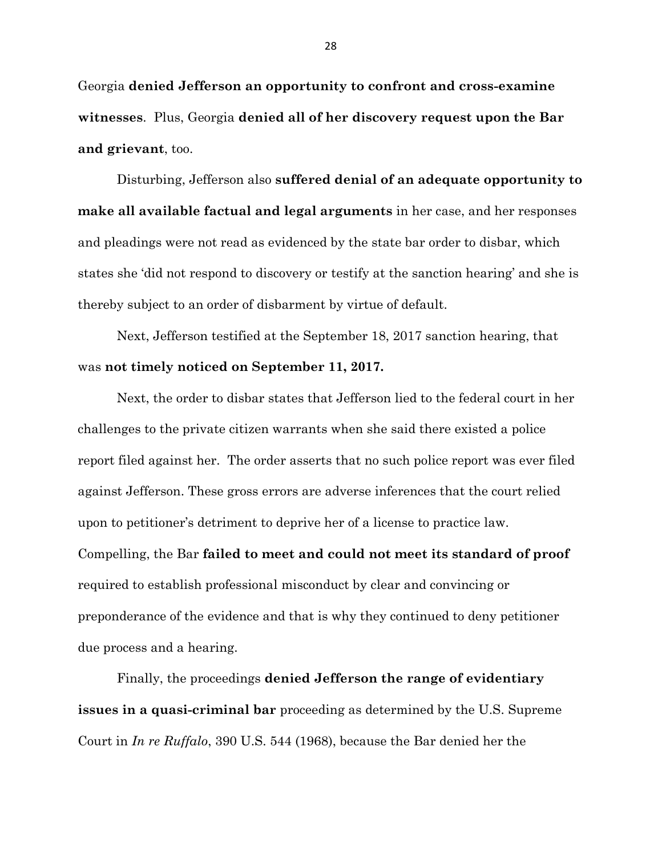Georgia **denied Jefferson an opportunity to confront and cross-examine witnesses**. Plus, Georgia **denied all of her discovery request upon the Bar and grievant**, too.

Disturbing, Jefferson also **suffered denial of an adequate opportunity to make all available factual and legal arguments** in her case, and her responses and pleadings were not read as evidenced by the state bar order to disbar, which states she 'did not respond to discovery or testify at the sanction hearing' and she is thereby subject to an order of disbarment by virtue of default.

Next, Jefferson testified at the September 18, 2017 sanction hearing, that was **not timely noticed on September 11, 2017.** 

Next, the order to disbar states that Jefferson lied to the federal court in her challenges to the private citizen warrants when she said there existed a police report filed against her. The order asserts that no such police report was ever filed against Jefferson. These gross errors are adverse inferences that the court relied upon to petitioner's detriment to deprive her of a license to practice law. Compelling, the Bar **failed to meet and could not meet its standard of proof** required to establish professional misconduct by clear and convincing or preponderance of the evidence and that is why they continued to deny petitioner due process and a hearing.

Finally, the proceedings **denied Jefferson the range of evidentiary issues in a quasi-criminal bar** proceeding as determined by the U.S. Supreme Court in *In re Ruffalo*, 390 U.S. 544 (1968), because the Bar denied her the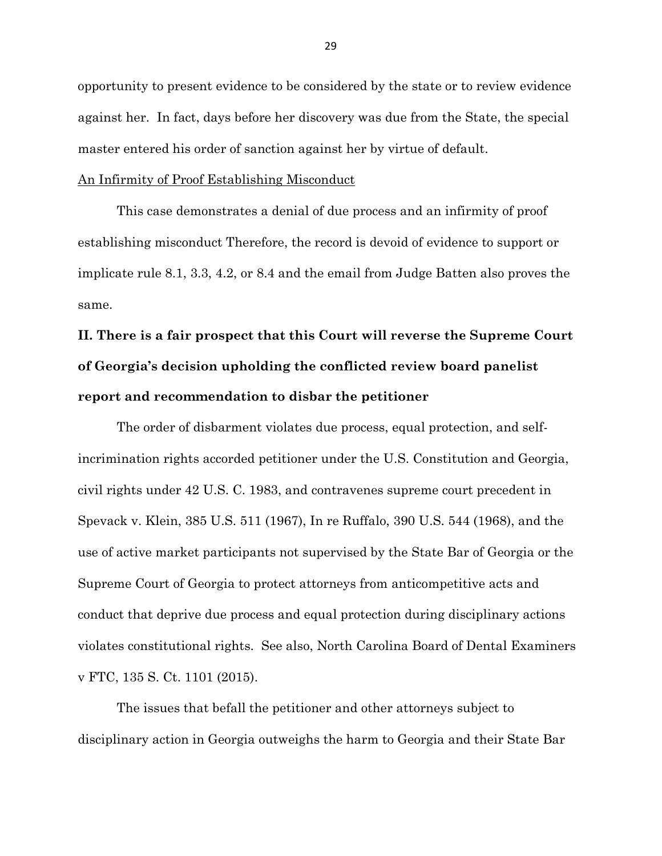opportunity to present evidence to be considered by the state or to review evidence against her. In fact, days before her discovery was due from the State, the special master entered his order of sanction against her by virtue of default.

#### An Infirmity of Proof Establishing Misconduct

This case demonstrates a denial of due process and an infirmity of proof establishing misconduct Therefore, the record is devoid of evidence to support or implicate rule 8.1, 3.3, 4.2, or 8.4 and the email from Judge Batten also proves the same.

# **II. There is a fair prospect that this Court will reverse the Supreme Court of Georgia's decision upholding the conflicted review board panelist report and recommendation to disbar the petitioner**

The order of disbarment violates due process, equal protection, and selfincrimination rights accorded petitioner under the U.S. Constitution and Georgia, civil rights under 42 U.S. C. 1983, and contravenes supreme court precedent in Spevack v. Klein, 385 U.S. 511 (1967), In re Ruffalo, 390 U.S. 544 (1968), and the use of active market participants not supervised by the State Bar of Georgia or the Supreme Court of Georgia to protect attorneys from anticompetitive acts and conduct that deprive due process and equal protection during disciplinary actions violates constitutional rights. See also, North Carolina Board of Dental Examiners v FTC, 135 S. Ct. 1101 (2015).

The issues that befall the petitioner and other attorneys subject to disciplinary action in Georgia outweighs the harm to Georgia and their State Bar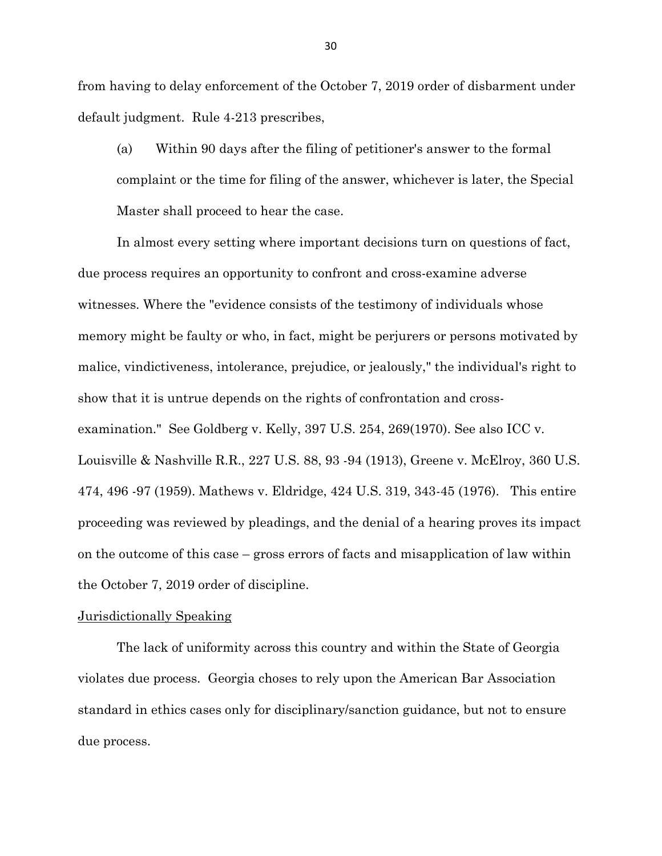from having to delay enforcement of the October 7, 2019 order of disbarment under default judgment. Rule 4-213 prescribes,

(a) Within 90 days after the filing of petitioner's answer to the formal complaint or the time for filing of the answer, whichever is later, the Special Master shall proceed to hear the case.

In almost every setting where important decisions turn on questions of fact, due process requires an opportunity to confront and cross-examine adverse witnesses. Where the "evidence consists of the testimony of individuals whose memory might be faulty or who, in fact, might be perjurers or persons motivated by malice, vindictiveness, intolerance, prejudice, or jealously," the individual's right to show that it is untrue depends on the rights of confrontation and crossexamination." See Goldberg v. Kelly, 397 U.S. 254, 269(1970). See also ICC v. Louisville & Nashville R.R., 227 U.S. 88, 93 -94 (1913), Greene v. McElroy, 360 U.S. 474, 496 -97 (1959). Mathews v. Eldridge, 424 U.S. 319, 343-45 (1976). This entire proceeding was reviewed by pleadings, and the denial of a hearing proves its impact on the outcome of this case – gross errors of facts and misapplication of law within the October 7, 2019 order of discipline.

#### Jurisdictionally Speaking

The lack of uniformity across this country and within the State of Georgia violates due process. Georgia choses to rely upon the American Bar Association standard in ethics cases only for disciplinary/sanction guidance, but not to ensure due process.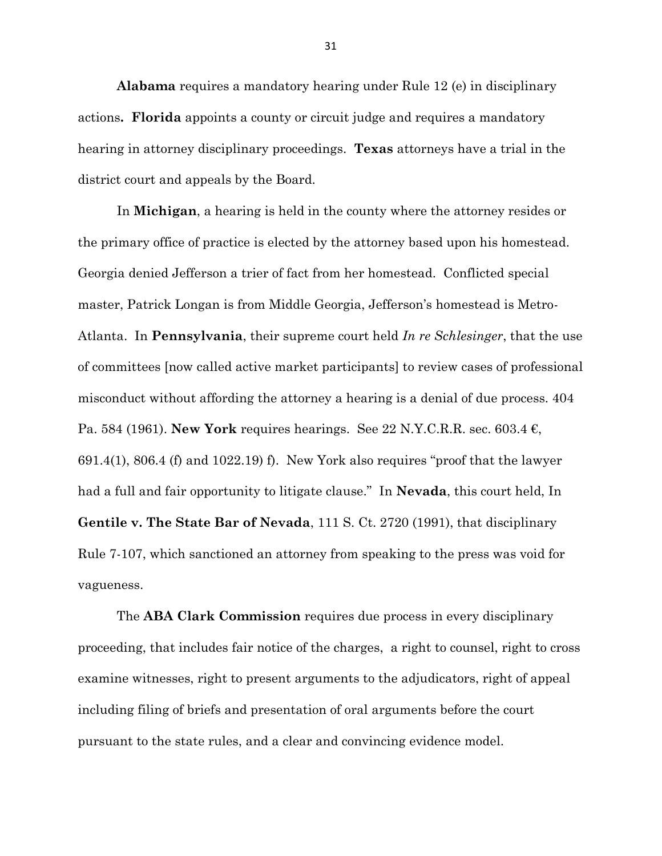**Alabama** requires a mandatory hearing under Rule 12 (e) in disciplinary actions**. Florida** appoints a county or circuit judge and requires a mandatory hearing in attorney disciplinary proceedings. **Texas** attorneys have a trial in the district court and appeals by the Board.

In **Michigan**, a hearing is held in the county where the attorney resides or the primary office of practice is elected by the attorney based upon his homestead. Georgia denied Jefferson a trier of fact from her homestead. Conflicted special master, Patrick Longan is from Middle Georgia, Jefferson's homestead is Metro-Atlanta. In **Pennsylvania**, their supreme court held *In re Schlesinger*, that the use of committees [now called active market participants] to review cases of professional misconduct without affording the attorney a hearing is a denial of due process. 404 Pa. 584 (1961). **New York** requires hearings. See 22 N.Y.C.R.R. sec. 603.4 €, 691.4(1), 806.4 (f) and 1022.19) f). New York also requires "proof that the lawyer had a full and fair opportunity to litigate clause." In **Nevada**, this court held, In **Gentile v. The State Bar of Nevada**, 111 S. Ct. 2720 (1991), that disciplinary Rule 7-107, which sanctioned an attorney from speaking to the press was void for vagueness.

The **ABA Clark Commission** requires due process in every disciplinary proceeding, that includes fair notice of the charges, a right to counsel, right to cross examine witnesses, right to present arguments to the adjudicators, right of appeal including filing of briefs and presentation of oral arguments before the court pursuant to the state rules, and a clear and convincing evidence model.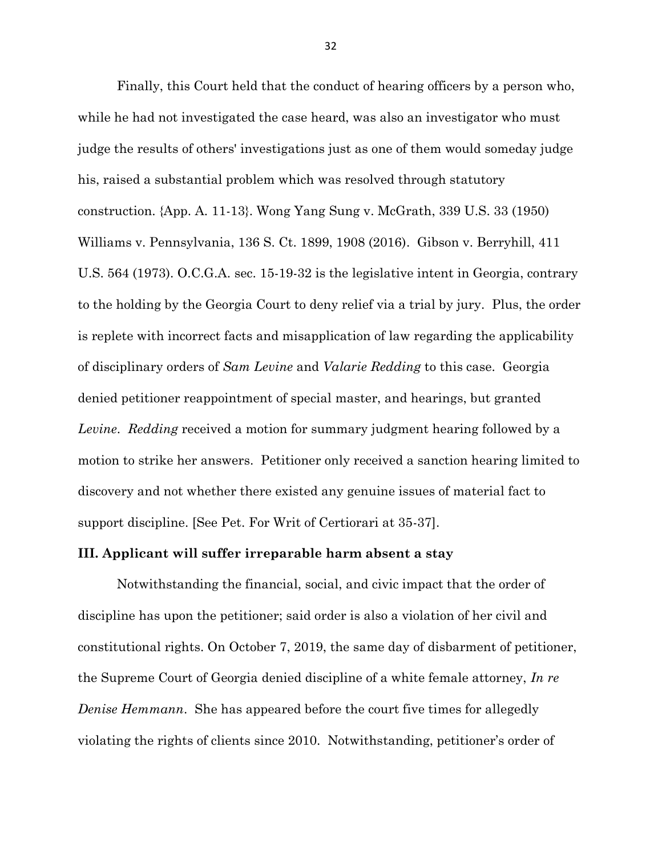Finally, this Court held that the conduct of hearing officers by a person who, while he had not investigated the case heard, was also an investigator who must judge the results of others' investigations just as one of them would someday judge his, raised a substantial problem which was resolved through statutory construction. {App. A. 11-13}. Wong Yang Sung v. McGrath, 339 U.S. 33 (1950) Williams v. Pennsylvania, 136 S. Ct. 1899, 1908 (2016). Gibson v. Berryhill, 411 U.S. 564 (1973). O.C.G.A. sec. 15-19-32 is the legislative intent in Georgia, contrary to the holding by the Georgia Court to deny relief via a trial by jury. Plus, the order is replete with incorrect facts and misapplication of law regarding the applicability of disciplinary orders of *Sam Levine* and *Valarie Redding* to this case. Georgia denied petitioner reappointment of special master, and hearings, but granted *Levine*. *Redding* received a motion for summary judgment hearing followed by a motion to strike her answers. Petitioner only received a sanction hearing limited to discovery and not whether there existed any genuine issues of material fact to support discipline. [See Pet. For Writ of Certiorari at 35-37].

#### **III. Applicant will suffer irreparable harm absent a stay**

Notwithstanding the financial, social, and civic impact that the order of discipline has upon the petitioner; said order is also a violation of her civil and constitutional rights. On October 7, 2019, the same day of disbarment of petitioner, the Supreme Court of Georgia denied discipline of a white female attorney, *In re Denise Hemmann*. She has appeared before the court five times for allegedly violating the rights of clients since 2010. Notwithstanding, petitioner's order of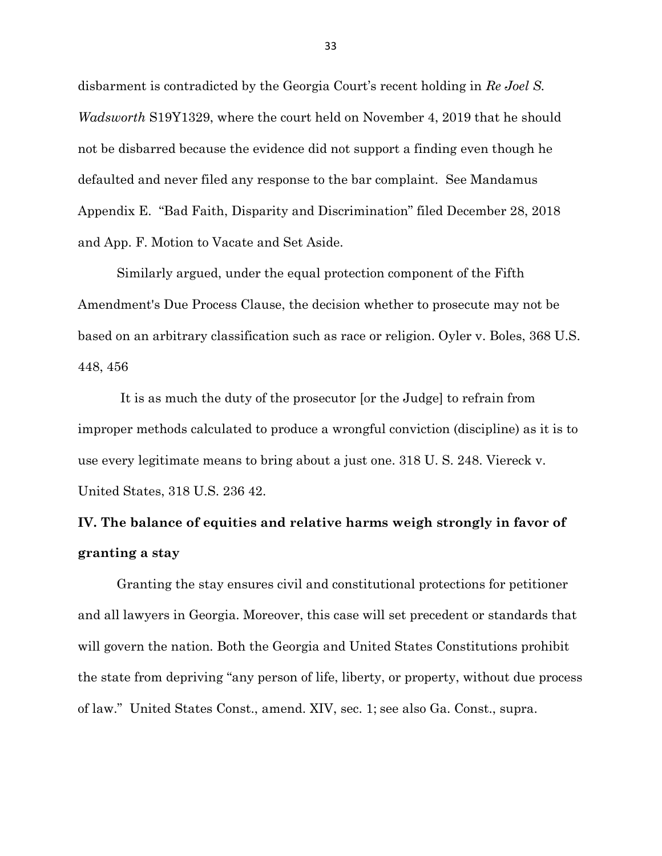disbarment is contradicted by the Georgia Court's recent holding in *Re Joel S. Wadsworth* S19Y1329, where the court held on November 4, 2019 that he should not be disbarred because the evidence did not support a finding even though he defaulted and never filed any response to the bar complaint. See Mandamus Appendix E. "Bad Faith, Disparity and Discrimination" filed December 28, 2018 and App. F. Motion to Vacate and Set Aside.

Similarly argued, under the equal protection component of the Fifth Amendment's Due Process Clause, the decision whether to prosecute may not be based on an arbitrary classification such as race or religion. Oyler v. Boles, 368 U.S. 448, 456

It is as much the duty of the prosecutor [or the Judge] to refrain from improper methods calculated to produce a wrongful conviction (discipline) as it is to use every legitimate means to bring about a just one. 318 U. S. 248. Viereck v. United States, 318 U.S. 236 42.

## **IV. The balance of equities and relative harms weigh strongly in favor of granting a stay**

Granting the stay ensures civil and constitutional protections for petitioner and all lawyers in Georgia. Moreover, this case will set precedent or standards that will govern the nation. Both the Georgia and United States Constitutions prohibit the state from depriving "any person of life, liberty, or property, without due process of law." United States Const., amend. XIV, sec. 1; see also Ga. Const., supra.